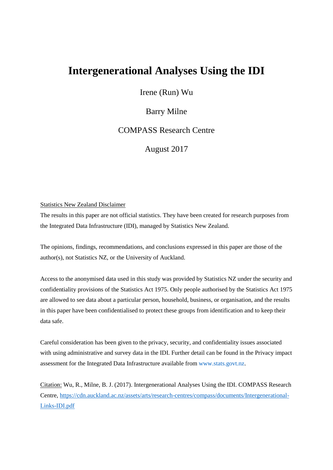# **Intergenerational Analyses Using the IDI**

Irene (Run) Wu

# Barry Milne

COMPASS Research Centre

August 2017

#### Statistics New Zealand Disclaimer

The results in this paper are not official statistics. They have been created for research purposes from the Integrated Data Infrastructure (IDI), managed by Statistics New Zealand.

The opinions, findings, recommendations, and conclusions expressed in this paper are those of the author(s), not Statistics NZ, or the University of Auckland.

Access to the anonymised data used in this study was provided by Statistics NZ under the security and confidentiality provisions of the Statistics Act 1975. Only people authorised by the Statistics Act 1975 are allowed to see data about a particular person, household, business, or organisation, and the results in this paper have been confidentialised to protect these groups from identification and to keep their data safe.

Careful consideration has been given to the privacy, security, and confidentiality issues associated with using administrative and survey data in the IDI. Further detail can be found in the Privacy impact assessment for the Integrated Data Infrastructure available from [www.stats.govt.nz.](http://www.stats.govt.nz/)

Citation: Wu, R., Milne, B. J. (2017). Intergenerational Analyses Using the IDI. COMPASS Research Centre, [https://cdn.auckland.ac.nz/assets/arts/research-centres/compass/documents/Intergenerational-](https://cdn.auckland.ac.nz/assets/arts/research-centres/compass/documents/Intergenerational-Links-IDI.pdf)[Links-IDI.pdf](https://cdn.auckland.ac.nz/assets/arts/research-centres/compass/documents/Intergenerational-Links-IDI.pdf)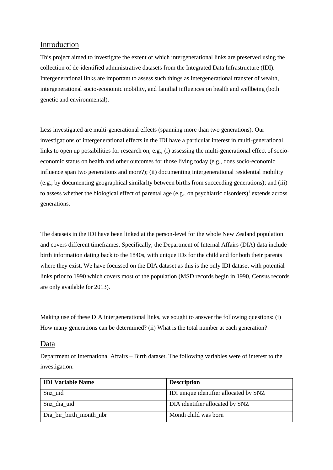## Introduction

This project aimed to investigate the extent of which intergenerational links are preserved using the collection of de-identified administrative datasets from the Integrated Data Infrastructure (IDI). Intergenerational links are important to assess such things as intergenerational transfer of wealth, intergenerational socio-economic mobility, and familial influences on health and wellbeing (both genetic and environmental).

Less investigated are multi-generational effects (spanning more than two generations). Our investigations of intergenerational effects in the IDI have a particular interest in multi-generational links to open up possibilities for research on, e.g., (i) assessing the multi-generational effect of socioeconomic status on health and other outcomes for those living today (e.g., does socio-economic influence span two generations and more?); (ii) documenting intergenerational residential mobility (e.g., by documenting geographical similarlty between births from succeeding generations); and (iii) to assess whether the biological effect of parental age (e.g., on psychiatric disorders)<sup>1</sup> extends across generations.

The datasets in the IDI have been linked at the person-level for the whole New Zealand population and covers different timeframes. Specifically, the Department of Internal Affairs (DIA) data include birth information dating back to the 1840s, with unique IDs for the child and for both their parents where they exist. We have focussed on the DIA dataset as this is the only IDI dataset with potential links prior to 1990 which covers most of the population (MSD records begin in 1990, Census records are only available for 2013).

Making use of these DIA intergenerational links, we sought to answer the following questions: (i) How many generations can be determined? (ii) What is the total number at each generation?

## Data

Department of International Affairs – Birth dataset. The following variables were of interest to the investigation:

| <b>IDI Variable Name</b> | <b>Description</b>                     |
|--------------------------|----------------------------------------|
| Snz uid                  | IDI unique identifier allocated by SNZ |
| Snz dia uid              | DIA identifier allocated by SNZ        |
| Dia bir birth month nbr  | Month child was born                   |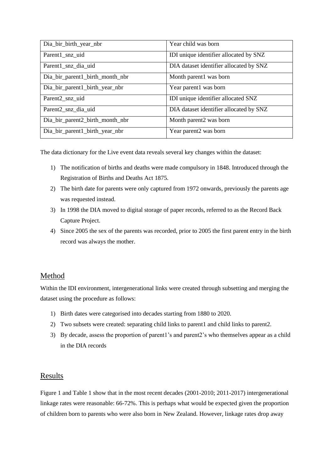| Dia_bir_birth_year_nbr          | Year child was born                     |  |  |
|---------------------------------|-----------------------------------------|--|--|
| Parent1_snz_uid                 | IDI unique identifier allocated by SNZ  |  |  |
| Parent1_snz_dia_uid             | DIA dataset identifier allocated by SNZ |  |  |
| Dia_bir_parent1_birth_month_nbr | Month parent1 was born                  |  |  |
| Dia_bir_parent1_birth_year_nbr  | Year parent1 was born                   |  |  |
| Parent2_snz_uid                 | IDI unique identifier allocated SNZ     |  |  |
| Parent <sub>2_snz_dia_uid</sub> | DIA dataset identifier allocated by SNZ |  |  |
| Dia_bir_parent2_birth_month_nbr | Month parent2 was born                  |  |  |
| Dia_bir_parent1_birth_year_nbr  | Year parent2 was born                   |  |  |

The data dictionary for the Live event data reveals several key changes within the dataset:

- 1) The notification of births and deaths were made compulsory in 1848. Introduced through the Registration of Births and Deaths Act 1875.
- 2) The birth date for parents were only captured from 1972 onwards, previously the parents age was requested instead.
- 3) In 1998 the DIA moved to digital storage of paper records, referred to as the Record Back Capture Project.
- 4) Since 2005 the sex of the parents was recorded, prior to 2005 the first parent entry in the birth record was always the mother.

## Method

Within the IDI environment, intergenerational links were created through subsetting and merging the dataset using the procedure as follows:

- 1) Birth dates were categorised into decades starting from 1880 to 2020.
- 2) Two subsets were created: separating child links to parent1 and child links to parent2.
- 3) By decade, assess the proportion of parent1's and parent2's who themselves appear as a child in the DIA records

## Results

Figure 1 and Table 1 show that in the most recent decades (2001-2010; 2011-2017) intergenerational linkage rates were reasonable: 66-72%. This is perhaps what would be expected given the proportion of children born to parents who were also born in New Zealand. However, linkage rates drop away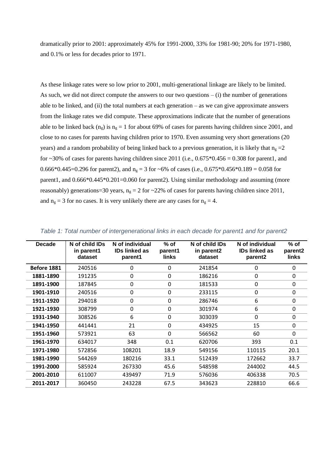dramatically prior to 2001: approximately 45% for 1991-2000, 33% for 1981-90; 20% for 1971-1980, and 0.1% or less for decades prior to 1971.

As these linkage rates were so low prior to 2001, multi-generational linkage are likely to be limited. As such, we did not direct compute the answers to our two questions – (i) the number of generations able to be linked, and (ii) the total numbers at each generation – as we can give approximate answers from the linkage rates we did compute. These approximations indicate that the number of generations able to be linked back (n<sub>g</sub>) is n<sub>g</sub> = 1 for about 69% of cases for parents having children since 2001, and close to no cases for parents having children prior to 1970. Even assuming very short generations (20 years) and a random probability of being linked back to a previous generation, it is likely that  $n<sub>g</sub> = 2$ for  $\sim$ 30% of cases for parents having children since 2011 (i.e., 0.675 $*$ 0.456 = 0.308 for parent1, and 0.666\*0.445=0.296 for parent2), and  $n_e = 3$  for ~6% of cases (i.e., 0.675\*0.456\*0.189 = 0.058 for parent1, and  $0.666*0.445*0.201=0.060$  for parent2). Using similar methodology and assuming (more reasonably) generations=30 years,  $n_g = 2$  for  $\sim$ 22% of cases for parents having children since 2011, and  $n_g = 3$  for no cases. It is very unlikely there are any cases for  $n_g = 4$ .

| <b>Decade</b> | N of child IDs<br>in parent1<br>dataset | N of individual<br><b>IDs linked as</b><br>parent1 | $%$ of<br>parent1<br>links | N of child IDs<br>in parent2<br>dataset | N of individual<br><b>IDs linked as</b><br>parent <sub>2</sub> | $%$ of<br>parent <sub>2</sub><br>links |
|---------------|-----------------------------------------|----------------------------------------------------|----------------------------|-----------------------------------------|----------------------------------------------------------------|----------------------------------------|
| Before 1881   | 240516                                  | 0                                                  | 0                          | 241854                                  | 0                                                              | 0                                      |
| 1881-1890     | 191235                                  | 0                                                  | $\Omega$                   | 186216                                  | 0                                                              | 0                                      |
| 1891-1900     | 187845                                  | 0                                                  | 0                          | 181533                                  | 0                                                              | 0                                      |
| 1901-1910     | 240516                                  | 0                                                  | 0                          | 233115                                  | 0                                                              | 0                                      |
| 1911-1920     | 294018                                  | 0                                                  | 0                          | 286746                                  | 6                                                              | 0                                      |
| 1921-1930     | 308799                                  | 0                                                  | 0                          | 301974                                  | 6                                                              | 0                                      |
| 1931-1940     | 308526                                  | 6                                                  | $\Omega$                   | 303039                                  | 0                                                              | 0                                      |
| 1941-1950     | 441441                                  | 21                                                 | 0                          | 434925                                  | 15                                                             | 0                                      |
| 1951-1960     | 573921                                  | 63                                                 | 0                          | 566562                                  | 60                                                             | 0                                      |
| 1961-1970     | 634017                                  | 348                                                | 0.1                        | 620706                                  | 393                                                            | 0.1                                    |
| 1971-1980     | 572856                                  | 108201                                             | 18.9                       | 549156                                  | 110115                                                         | 20.1                                   |
| 1981-1990     | 544269                                  | 180216                                             | 33.1                       | 512439                                  | 172662                                                         | 33.7                                   |
| 1991-2000     | 585924                                  | 267330                                             | 45.6                       | 548598                                  | 244002                                                         | 44.5                                   |
| 2001-2010     | 611007                                  | 439497                                             | 71.9                       | 576036                                  | 406338                                                         | 70.5                                   |
| 2011-2017     | 360450                                  | 243228                                             | 67.5                       | 343623                                  | 228810                                                         | 66.6                                   |

*Table 1: Total number of intergenerational links in each decade for parent1 and for parent2*